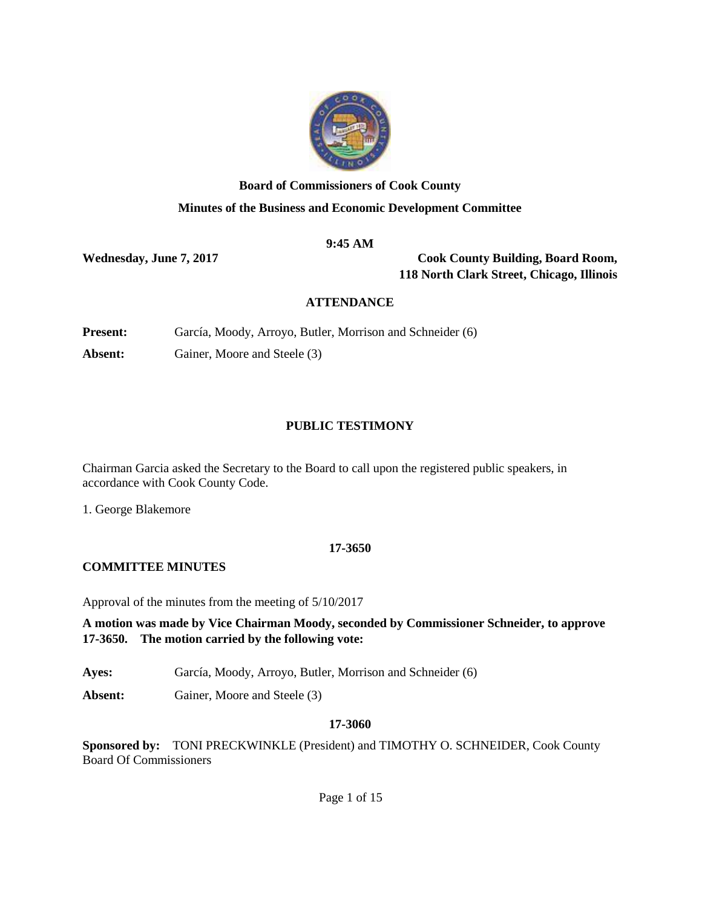

# **Board of Commissioners of Cook County Minutes of the Business and Economic Development Committee**

## **9:45 AM**

**Wednesday, June 7, 2017 Cook County Building, Board Room, 118 North Clark Street, Chicago, Illinois**

## **ATTENDANCE**

**Present:** García, Moody, Arroyo, Butler, Morrison and Schneider (6)

**Absent:** Gainer, Moore and Steele (3)

## **PUBLIC TESTIMONY**

Chairman Garcia asked the Secretary to the Board to call upon the registered public speakers, in accordance with Cook County Code.

1. George Blakemore

## **17-3650**

## **COMMITTEE MINUTES**

Approval of the minutes from the meeting of 5/10/2017

**A motion was made by Vice Chairman Moody, seconded by Commissioner Schneider, to approve 17-3650. The motion carried by the following vote:**

**Ayes:** García, Moody, Arroyo, Butler, Morrison and Schneider (6)

**Absent:** Gainer, Moore and Steele (3)

## **17-3060**

**Sponsored by:** TONI PRECKWINKLE (President) and TIMOTHY O. SCHNEIDER, Cook County Board Of Commissioners

Page 1 of 15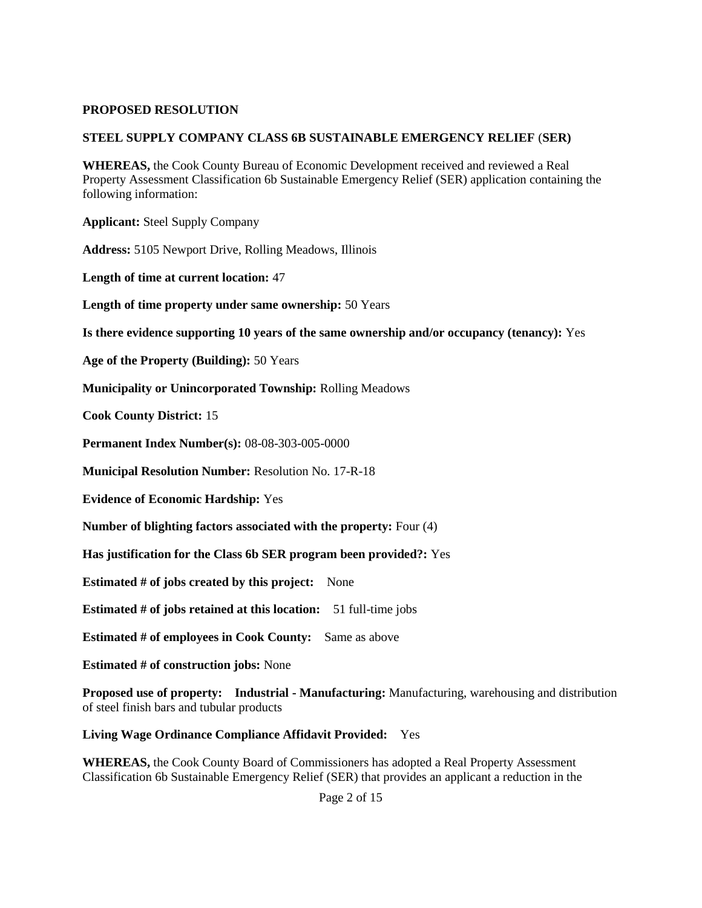#### **PROPOSED RESOLUTION**

#### **STEEL SUPPLY COMPANY CLASS 6B SUSTAINABLE EMERGENCY RELIEF** (**SER)**

**WHEREAS,** the Cook County Bureau of Economic Development received and reviewed a Real Property Assessment Classification 6b Sustainable Emergency Relief (SER) application containing the following information:

**Applicant:** Steel Supply Company

**Address:** 5105 Newport Drive, Rolling Meadows, Illinois

**Length of time at current location:** 47

**Length of time property under same ownership:** 50 Years

**Is there evidence supporting 10 years of the same ownership and/or occupancy (tenancy):** Yes

**Age of the Property (Building):** 50 Years

**Municipality or Unincorporated Township:** Rolling Meadows

**Cook County District:** 15

**Permanent Index Number(s):** 08-08-303-005-0000

**Municipal Resolution Number:** Resolution No. 17-R-18

**Evidence of Economic Hardship:** Yes

**Number of blighting factors associated with the property:** Four (4)

**Has justification for the Class 6b SER program been provided?:** Yes

**Estimated # of jobs created by this project:** None

**Estimated # of jobs retained at this location:** 51 full-time jobs

**Estimated # of employees in Cook County:** Same as above

**Estimated # of construction jobs:** None

**Proposed use of property: Industrial - Manufacturing:** Manufacturing, warehousing and distribution of steel finish bars and tubular products

**Living Wage Ordinance Compliance Affidavit Provided:** Yes

**WHEREAS,** the Cook County Board of Commissioners has adopted a Real Property Assessment Classification 6b Sustainable Emergency Relief (SER) that provides an applicant a reduction in the

Page 2 of 15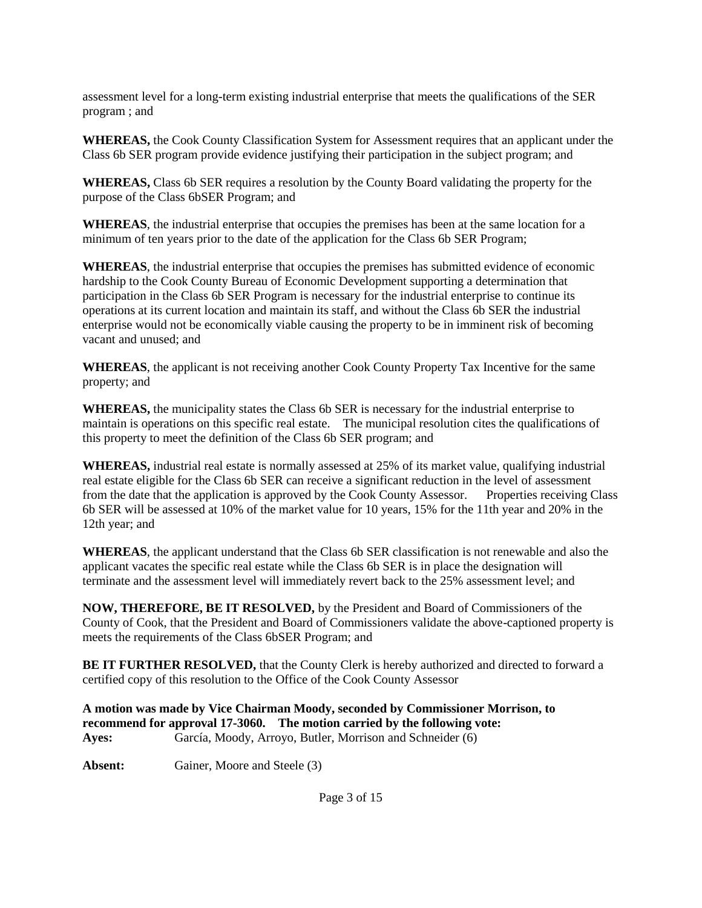assessment level for a long-term existing industrial enterprise that meets the qualifications of the SER program ; and

**WHEREAS,** the Cook County Classification System for Assessment requires that an applicant under the Class 6b SER program provide evidence justifying their participation in the subject program; and

**WHEREAS,** Class 6b SER requires a resolution by the County Board validating the property for the purpose of the Class 6bSER Program; and

**WHEREAS**, the industrial enterprise that occupies the premises has been at the same location for a minimum of ten years prior to the date of the application for the Class 6b SER Program;

**WHEREAS**, the industrial enterprise that occupies the premises has submitted evidence of economic hardship to the Cook County Bureau of Economic Development supporting a determination that participation in the Class 6b SER Program is necessary for the industrial enterprise to continue its operations at its current location and maintain its staff, and without the Class 6b SER the industrial enterprise would not be economically viable causing the property to be in imminent risk of becoming vacant and unused; and

**WHEREAS**, the applicant is not receiving another Cook County Property Tax Incentive for the same property; and

**WHEREAS,** the municipality states the Class 6b SER is necessary for the industrial enterprise to maintain is operations on this specific real estate. The municipal resolution cites the qualifications of this property to meet the definition of the Class 6b SER program; and

**WHEREAS,** industrial real estate is normally assessed at 25% of its market value, qualifying industrial real estate eligible for the Class 6b SER can receive a significant reduction in the level of assessment from the date that the application is approved by the Cook County Assessor. Properties receiving Class 6b SER will be assessed at 10% of the market value for 10 years, 15% for the 11th year and 20% in the 12th year; and

**WHEREAS**, the applicant understand that the Class 6b SER classification is not renewable and also the applicant vacates the specific real estate while the Class 6b SER is in place the designation will terminate and the assessment level will immediately revert back to the 25% assessment level; and

**NOW, THEREFORE, BE IT RESOLVED,** by the President and Board of Commissioners of the County of Cook, that the President and Board of Commissioners validate the above-captioned property is meets the requirements of the Class 6bSER Program; and

**BE IT FURTHER RESOLVED,** that the County Clerk is hereby authorized and directed to forward a certified copy of this resolution to the Office of the Cook County Assessor

**A motion was made by Vice Chairman Moody, seconded by Commissioner Morrison, to recommend for approval 17-3060. The motion carried by the following vote: Ayes:** García, Moody, Arroyo, Butler, Morrison and Schneider (6)

Absent: Gainer, Moore and Steele (3)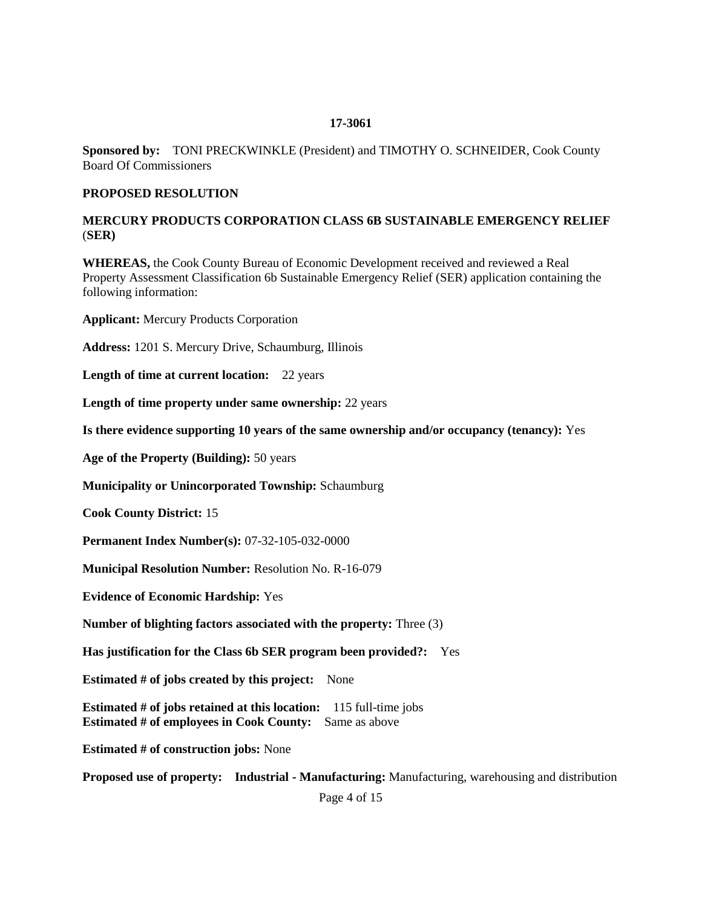#### **17-3061**

**Sponsored by:** TONI PRECKWINKLE (President) and TIMOTHY O. SCHNEIDER, Cook County Board Of Commissioners

#### **PROPOSED RESOLUTION**

#### **MERCURY PRODUCTS CORPORATION CLASS 6B SUSTAINABLE EMERGENCY RELIEF** (**SER)**

**WHEREAS,** the Cook County Bureau of Economic Development received and reviewed a Real Property Assessment Classification 6b Sustainable Emergency Relief (SER) application containing the following information:

**Applicant:** Mercury Products Corporation

**Address:** 1201 S. Mercury Drive, Schaumburg, Illinois

**Length of time at current location:** 22 years

**Length of time property under same ownership:** 22 years

**Is there evidence supporting 10 years of the same ownership and/or occupancy (tenancy):** Yes

**Age of the Property (Building):** 50 years

**Municipality or Unincorporated Township:** Schaumburg

**Cook County District:** 15

**Permanent Index Number(s):** 07-32-105-032-0000

**Municipal Resolution Number:** Resolution No. R-16-079

**Evidence of Economic Hardship:** Yes

**Number of blighting factors associated with the property:** Three (3)

**Has justification for the Class 6b SER program been provided?:** Yes

**Estimated # of jobs created by this project:** None

**Estimated # of jobs retained at this location:** 115 full-time jobs **Estimated # of employees in Cook County:** Same as above

**Estimated # of construction jobs:** None

**Proposed use of property: Industrial - Manufacturing:** Manufacturing, warehousing and distribution

Page 4 of 15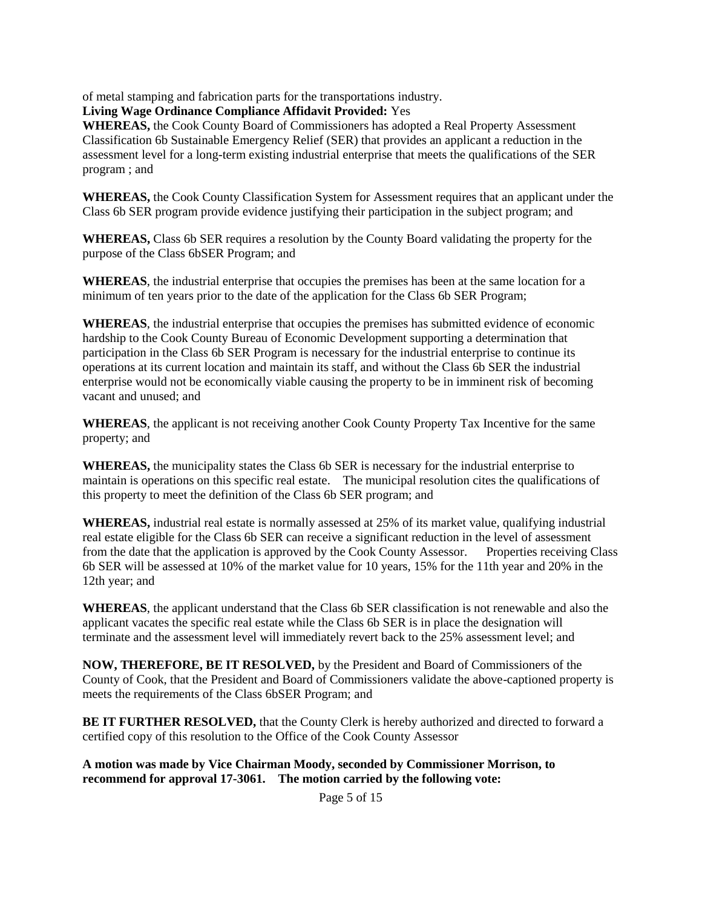of metal stamping and fabrication parts for the transportations industry.

**Living Wage Ordinance Compliance Affidavit Provided:** Yes

**WHEREAS,** the Cook County Board of Commissioners has adopted a Real Property Assessment Classification 6b Sustainable Emergency Relief (SER) that provides an applicant a reduction in the assessment level for a long-term existing industrial enterprise that meets the qualifications of the SER program ; and

**WHEREAS,** the Cook County Classification System for Assessment requires that an applicant under the Class 6b SER program provide evidence justifying their participation in the subject program; and

**WHEREAS,** Class 6b SER requires a resolution by the County Board validating the property for the purpose of the Class 6bSER Program; and

**WHEREAS**, the industrial enterprise that occupies the premises has been at the same location for a minimum of ten years prior to the date of the application for the Class 6b SER Program;

**WHEREAS**, the industrial enterprise that occupies the premises has submitted evidence of economic hardship to the Cook County Bureau of Economic Development supporting a determination that participation in the Class 6b SER Program is necessary for the industrial enterprise to continue its operations at its current location and maintain its staff, and without the Class 6b SER the industrial enterprise would not be economically viable causing the property to be in imminent risk of becoming vacant and unused; and

**WHEREAS**, the applicant is not receiving another Cook County Property Tax Incentive for the same property; and

**WHEREAS,** the municipality states the Class 6b SER is necessary for the industrial enterprise to maintain is operations on this specific real estate. The municipal resolution cites the qualifications of this property to meet the definition of the Class 6b SER program; and

**WHEREAS,** industrial real estate is normally assessed at 25% of its market value, qualifying industrial real estate eligible for the Class 6b SER can receive a significant reduction in the level of assessment from the date that the application is approved by the Cook County Assessor. Properties receiving Class 6b SER will be assessed at 10% of the market value for 10 years, 15% for the 11th year and 20% in the 12th year; and

**WHEREAS**, the applicant understand that the Class 6b SER classification is not renewable and also the applicant vacates the specific real estate while the Class 6b SER is in place the designation will terminate and the assessment level will immediately revert back to the 25% assessment level; and

**NOW, THEREFORE, BE IT RESOLVED,** by the President and Board of Commissioners of the County of Cook, that the President and Board of Commissioners validate the above-captioned property is meets the requirements of the Class 6bSER Program; and

**BE IT FURTHER RESOLVED,** that the County Clerk is hereby authorized and directed to forward a certified copy of this resolution to the Office of the Cook County Assessor

**A motion was made by Vice Chairman Moody, seconded by Commissioner Morrison, to recommend for approval 17-3061. The motion carried by the following vote:**

Page 5 of 15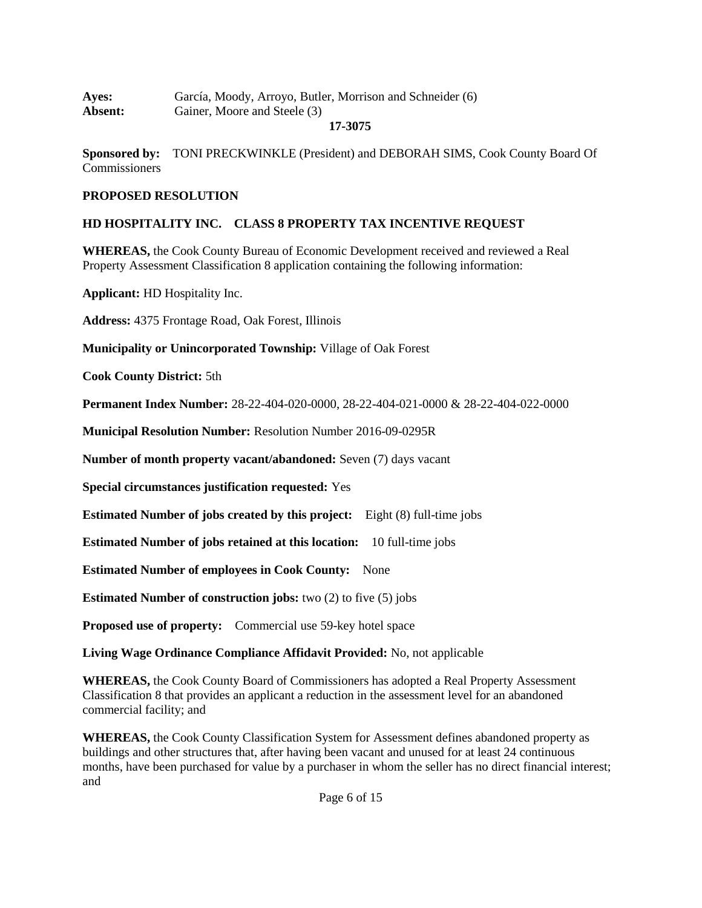| <b>Ayes:</b>   | García, Moody, Arroyo, Butler, Morrison and Schneider (6) |
|----------------|-----------------------------------------------------------|
| <b>Absent:</b> | Gainer, Moore and Steele (3)                              |

#### **17-3075**

**Sponsored by:** TONI PRECKWINKLE (President) and DEBORAH SIMS, Cook County Board Of **Commissioners** 

#### **PROPOSED RESOLUTION**

#### **HD HOSPITALITY INC. CLASS 8 PROPERTY TAX INCENTIVE REQUEST**

**WHEREAS,** the Cook County Bureau of Economic Development received and reviewed a Real Property Assessment Classification 8 application containing the following information:

**Applicant:** HD Hospitality Inc.

**Address:** 4375 Frontage Road, Oak Forest, Illinois

**Municipality or Unincorporated Township:** Village of Oak Forest

**Cook County District:** 5th

**Permanent Index Number:** 28-22-404-020-0000, 28-22-404-021-0000 & 28-22-404-022-0000

**Municipal Resolution Number:** Resolution Number 2016-09-0295R

**Number of month property vacant/abandoned:** Seven (7) days vacant

**Special circumstances justification requested:** Yes

**Estimated Number of jobs created by this project:** Eight (8) full-time jobs

**Estimated Number of jobs retained at this location:** 10 full-time jobs

**Estimated Number of employees in Cook County:** None

**Estimated Number of construction jobs:** two (2) to five (5) jobs

**Proposed use of property:** Commercial use 59-key hotel space

**Living Wage Ordinance Compliance Affidavit Provided:** No, not applicable

**WHEREAS,** the Cook County Board of Commissioners has adopted a Real Property Assessment Classification 8 that provides an applicant a reduction in the assessment level for an abandoned commercial facility; and

**WHEREAS,** the Cook County Classification System for Assessment defines abandoned property as buildings and other structures that, after having been vacant and unused for at least 24 continuous months, have been purchased for value by a purchaser in whom the seller has no direct financial interest; and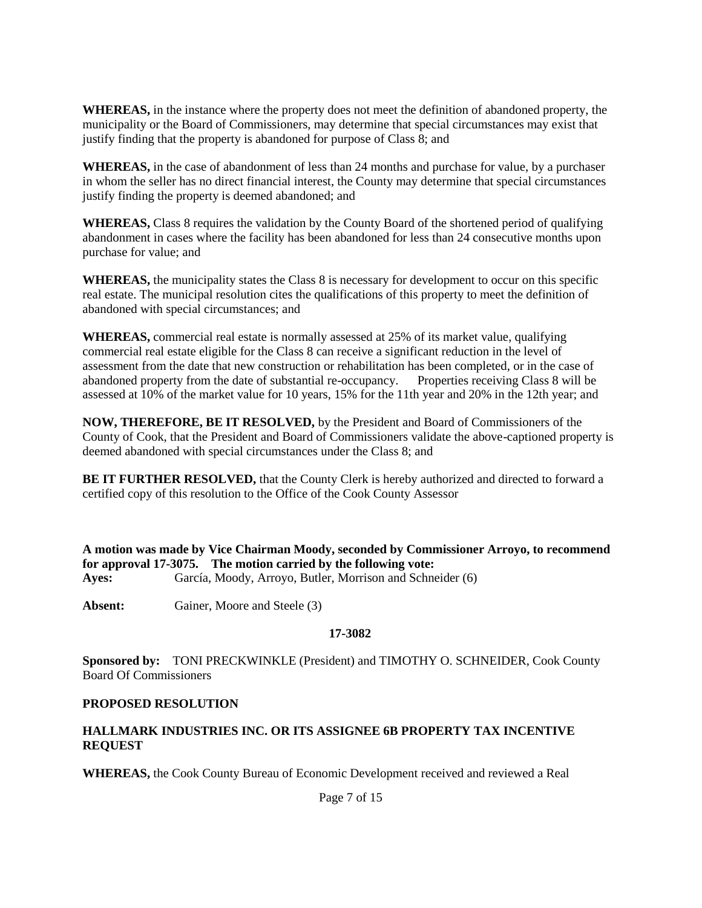**WHEREAS,** in the instance where the property does not meet the definition of abandoned property, the municipality or the Board of Commissioners, may determine that special circumstances may exist that justify finding that the property is abandoned for purpose of Class 8; and

**WHEREAS,** in the case of abandonment of less than 24 months and purchase for value, by a purchaser in whom the seller has no direct financial interest, the County may determine that special circumstances justify finding the property is deemed abandoned; and

**WHEREAS,** Class 8 requires the validation by the County Board of the shortened period of qualifying abandonment in cases where the facility has been abandoned for less than 24 consecutive months upon purchase for value; and

**WHEREAS,** the municipality states the Class 8 is necessary for development to occur on this specific real estate. The municipal resolution cites the qualifications of this property to meet the definition of abandoned with special circumstances; and

**WHEREAS,** commercial real estate is normally assessed at 25% of its market value, qualifying commercial real estate eligible for the Class 8 can receive a significant reduction in the level of assessment from the date that new construction or rehabilitation has been completed, or in the case of abandoned property from the date of substantial re-occupancy. Properties receiving Class 8 will be assessed at 10% of the market value for 10 years, 15% for the 11th year and 20% in the 12th year; and

**NOW, THEREFORE, BE IT RESOLVED,** by the President and Board of Commissioners of the County of Cook, that the President and Board of Commissioners validate the above-captioned property is deemed abandoned with special circumstances under the Class 8; and

**BE IT FURTHER RESOLVED,** that the County Clerk is hereby authorized and directed to forward a certified copy of this resolution to the Office of the Cook County Assessor

**A motion was made by Vice Chairman Moody, seconded by Commissioner Arroyo, to recommend for approval 17-3075. The motion carried by the following vote: Ayes:** García, Moody, Arroyo, Butler, Morrison and Schneider (6)

**Absent:** Gainer, Moore and Steele (3)

#### **17-3082**

**Sponsored by:** TONI PRECKWINKLE (President) and TIMOTHY O. SCHNEIDER, Cook County Board Of Commissioners

### **PROPOSED RESOLUTION**

#### **HALLMARK INDUSTRIES INC. OR ITS ASSIGNEE 6B PROPERTY TAX INCENTIVE REQUEST**

**WHEREAS,** the Cook County Bureau of Economic Development received and reviewed a Real

Page 7 of 15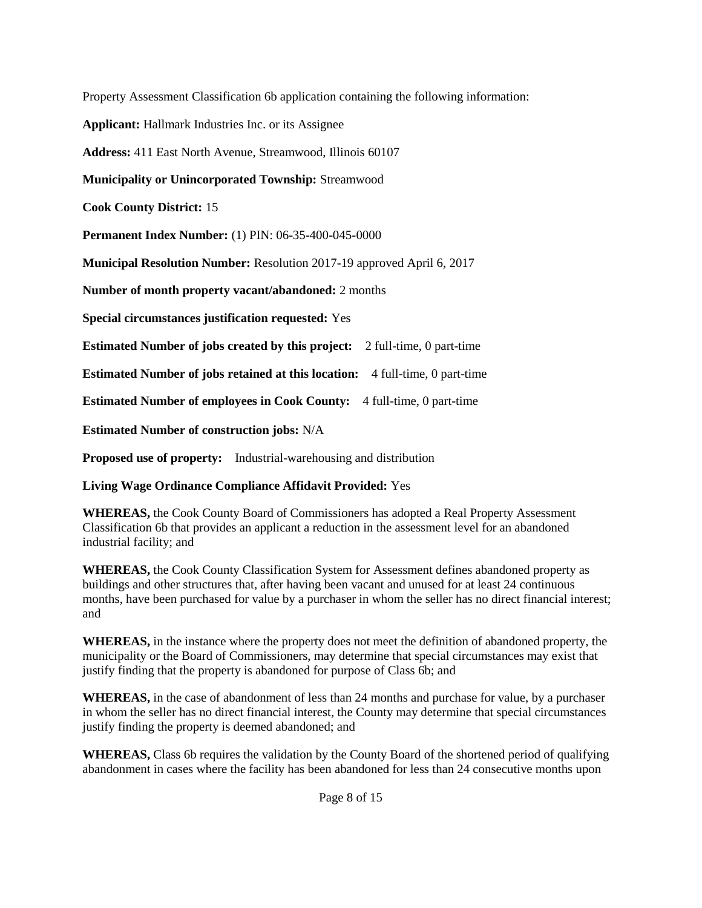Property Assessment Classification 6b application containing the following information:

**Applicant:** Hallmark Industries Inc. or its Assignee

**Address:** 411 East North Avenue, Streamwood, Illinois 60107

**Municipality or Unincorporated Township:** Streamwood

**Cook County District:** 15

**Permanent Index Number:** (1) PIN: 06-35-400-045-0000

**Municipal Resolution Number:** Resolution 2017-19 approved April 6, 2017

**Number of month property vacant/abandoned:** 2 months

**Special circumstances justification requested:** Yes

**Estimated Number of jobs created by this project:** 2 full-time, 0 part-time

**Estimated Number of jobs retained at this location:** 4 full-time, 0 part-time

**Estimated Number of employees in Cook County:** 4 full-time, 0 part-time

**Estimated Number of construction jobs:** N/A

**Proposed use of property:** Industrial-warehousing and distribution

**Living Wage Ordinance Compliance Affidavit Provided:** Yes

**WHEREAS,** the Cook County Board of Commissioners has adopted a Real Property Assessment Classification 6b that provides an applicant a reduction in the assessment level for an abandoned industrial facility; and

**WHEREAS,** the Cook County Classification System for Assessment defines abandoned property as buildings and other structures that, after having been vacant and unused for at least 24 continuous months, have been purchased for value by a purchaser in whom the seller has no direct financial interest; and

**WHEREAS,** in the instance where the property does not meet the definition of abandoned property, the municipality or the Board of Commissioners, may determine that special circumstances may exist that justify finding that the property is abandoned for purpose of Class 6b; and

**WHEREAS,** in the case of abandonment of less than 24 months and purchase for value, by a purchaser in whom the seller has no direct financial interest, the County may determine that special circumstances justify finding the property is deemed abandoned; and

**WHEREAS,** Class 6b requires the validation by the County Board of the shortened period of qualifying abandonment in cases where the facility has been abandoned for less than 24 consecutive months upon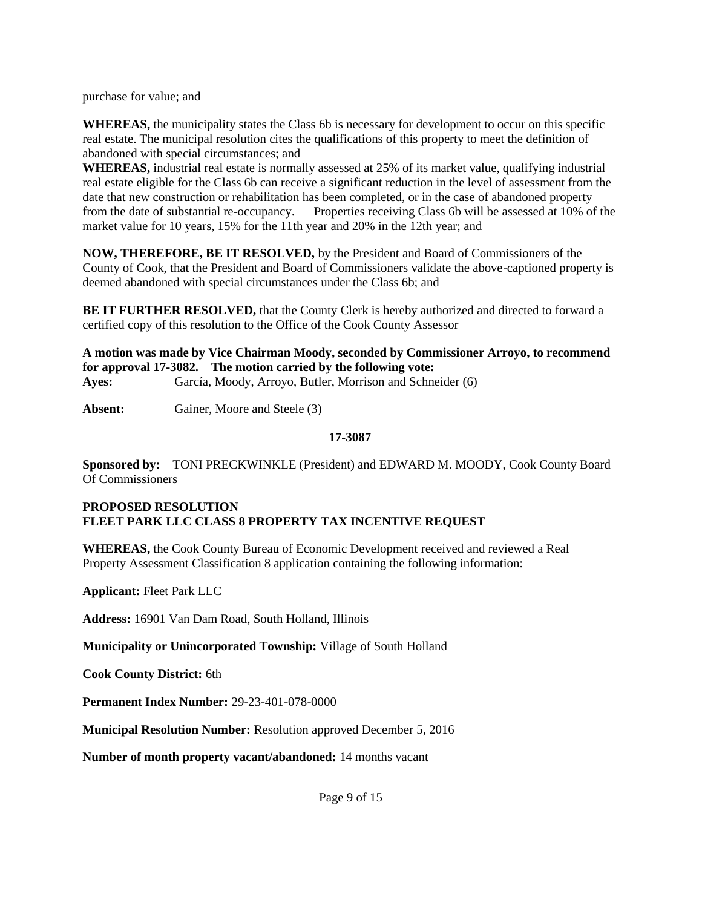purchase for value; and

**WHEREAS,** the municipality states the Class 6b is necessary for development to occur on this specific real estate. The municipal resolution cites the qualifications of this property to meet the definition of abandoned with special circumstances; and

**WHEREAS,** industrial real estate is normally assessed at 25% of its market value, qualifying industrial real estate eligible for the Class 6b can receive a significant reduction in the level of assessment from the date that new construction or rehabilitation has been completed, or in the case of abandoned property from the date of substantial re-occupancy. Properties receiving Class 6b will be assessed at 10% of the market value for 10 years, 15% for the 11th year and 20% in the 12th year; and

**NOW, THEREFORE, BE IT RESOLVED,** by the President and Board of Commissioners of the County of Cook, that the President and Board of Commissioners validate the above-captioned property is deemed abandoned with special circumstances under the Class 6b; and

**BE IT FURTHER RESOLVED,** that the County Clerk is hereby authorized and directed to forward a certified copy of this resolution to the Office of the Cook County Assessor

**A motion was made by Vice Chairman Moody, seconded by Commissioner Arroyo, to recommend for approval 17-3082. The motion carried by the following vote: Ayes:** García, Moody, Arroyo, Butler, Morrison and Schneider (6)

**Absent:** Gainer, Moore and Steele (3)

#### **17-3087**

**Sponsored by:** TONI PRECKWINKLE (President) and EDWARD M. MOODY, Cook County Board Of Commissioners

#### **PROPOSED RESOLUTION FLEET PARK LLC CLASS 8 PROPERTY TAX INCENTIVE REQUEST**

**WHEREAS,** the Cook County Bureau of Economic Development received and reviewed a Real Property Assessment Classification 8 application containing the following information:

**Applicant:** Fleet Park LLC

**Address:** 16901 Van Dam Road, South Holland, Illinois

**Municipality or Unincorporated Township:** Village of South Holland

**Cook County District:** 6th

**Permanent Index Number:** 29-23-401-078-0000

**Municipal Resolution Number:** Resolution approved December 5, 2016

**Number of month property vacant/abandoned:** 14 months vacant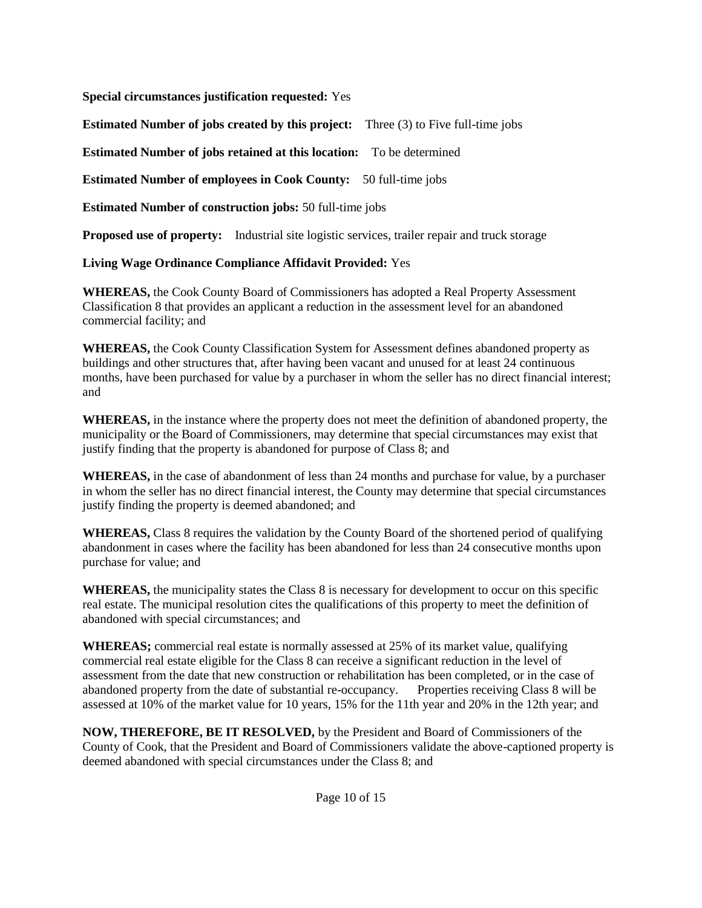**Special circumstances justification requested:** Yes

**Estimated Number of jobs created by this project:** Three (3) to Five full-time jobs

**Estimated Number of jobs retained at this location:** To be determined

**Estimated Number of employees in Cook County:** 50 full-time jobs

**Estimated Number of construction jobs:** 50 full-time jobs

**Proposed use of property:** Industrial site logistic services, trailer repair and truck storage

**Living Wage Ordinance Compliance Affidavit Provided:** Yes

**WHEREAS,** the Cook County Board of Commissioners has adopted a Real Property Assessment Classification 8 that provides an applicant a reduction in the assessment level for an abandoned commercial facility; and

**WHEREAS,** the Cook County Classification System for Assessment defines abandoned property as buildings and other structures that, after having been vacant and unused for at least 24 continuous months, have been purchased for value by a purchaser in whom the seller has no direct financial interest; and

**WHEREAS,** in the instance where the property does not meet the definition of abandoned property, the municipality or the Board of Commissioners, may determine that special circumstances may exist that justify finding that the property is abandoned for purpose of Class 8; and

**WHEREAS,** in the case of abandonment of less than 24 months and purchase for value, by a purchaser in whom the seller has no direct financial interest, the County may determine that special circumstances justify finding the property is deemed abandoned; and

**WHEREAS,** Class 8 requires the validation by the County Board of the shortened period of qualifying abandonment in cases where the facility has been abandoned for less than 24 consecutive months upon purchase for value; and

**WHEREAS,** the municipality states the Class 8 is necessary for development to occur on this specific real estate. The municipal resolution cites the qualifications of this property to meet the definition of abandoned with special circumstances; and

**WHEREAS;** commercial real estate is normally assessed at 25% of its market value, qualifying commercial real estate eligible for the Class 8 can receive a significant reduction in the level of assessment from the date that new construction or rehabilitation has been completed, or in the case of abandoned property from the date of substantial re-occupancy. Properties receiving Class 8 will be assessed at 10% of the market value for 10 years, 15% for the 11th year and 20% in the 12th year; and

**NOW, THEREFORE, BE IT RESOLVED,** by the President and Board of Commissioners of the County of Cook, that the President and Board of Commissioners validate the above-captioned property is deemed abandoned with special circumstances under the Class 8; and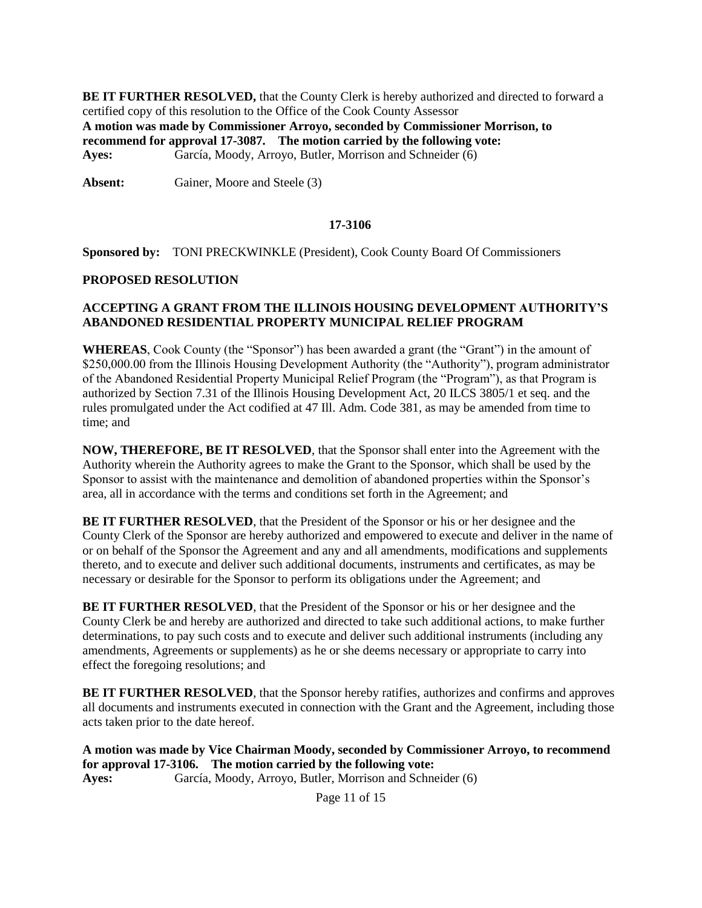**BE IT FURTHER RESOLVED, that the County Clerk is hereby authorized and directed to forward a** certified copy of this resolution to the Office of the Cook County Assessor **A motion was made by Commissioner Arroyo, seconded by Commissioner Morrison, to recommend for approval 17-3087. The motion carried by the following vote: Ayes:** García, Moody, Arroyo, Butler, Morrison and Schneider (6)

**Absent:** Gainer, Moore and Steele (3)

#### **17-3106**

**Sponsored by:** TONI PRECKWINKLE (President), Cook County Board Of Commissioners

#### **PROPOSED RESOLUTION**

#### **ACCEPTING A GRANT FROM THE ILLINOIS HOUSING DEVELOPMENT AUTHORITY'S ABANDONED RESIDENTIAL PROPERTY MUNICIPAL RELIEF PROGRAM**

**WHEREAS**, Cook County (the "Sponsor") has been awarded a grant (the "Grant") in the amount of \$250,000.00 from the Illinois Housing Development Authority (the "Authority"), program administrator of the Abandoned Residential Property Municipal Relief Program (the "Program"), as that Program is authorized by Section 7.31 of the Illinois Housing Development Act, 20 ILCS 3805/1 et seq. and the rules promulgated under the Act codified at 47 Ill. Adm. Code 381, as may be amended from time to time; and

**NOW, THEREFORE, BE IT RESOLVED**, that the Sponsor shall enter into the Agreement with the Authority wherein the Authority agrees to make the Grant to the Sponsor, which shall be used by the Sponsor to assist with the maintenance and demolition of abandoned properties within the Sponsor's area, all in accordance with the terms and conditions set forth in the Agreement; and

**BE IT FURTHER RESOLVED**, that the President of the Sponsor or his or her designee and the County Clerk of the Sponsor are hereby authorized and empowered to execute and deliver in the name of or on behalf of the Sponsor the Agreement and any and all amendments, modifications and supplements thereto, and to execute and deliver such additional documents, instruments and certificates, as may be necessary or desirable for the Sponsor to perform its obligations under the Agreement; and

**BE IT FURTHER RESOLVED**, that the President of the Sponsor or his or her designee and the County Clerk be and hereby are authorized and directed to take such additional actions, to make further determinations, to pay such costs and to execute and deliver such additional instruments (including any amendments, Agreements or supplements) as he or she deems necessary or appropriate to carry into effect the foregoing resolutions; and

**BE IT FURTHER RESOLVED**, that the Sponsor hereby ratifies, authorizes and confirms and approves all documents and instruments executed in connection with the Grant and the Agreement, including those acts taken prior to the date hereof.

**A motion was made by Vice Chairman Moody, seconded by Commissioner Arroyo, to recommend for approval 17-3106. The motion carried by the following vote: Ayes:** García, Moody, Arroyo, Butler, Morrison and Schneider (6)

Page 11 of 15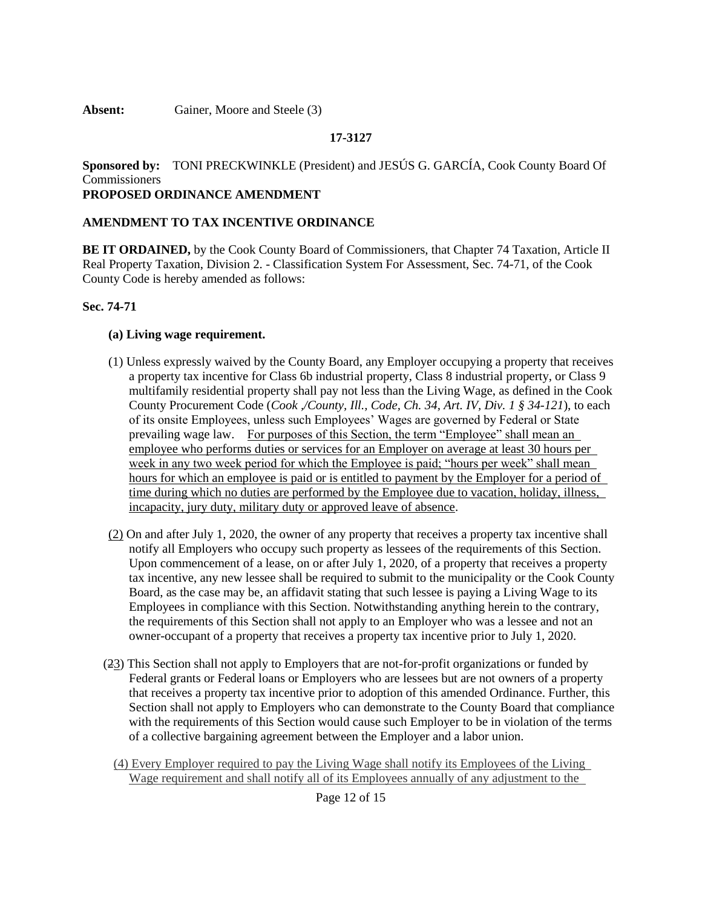**Absent:** Gainer, Moore and Steele (3)

### **17-3127**

**Sponsored by:** TONI PRECKWINKLE (President) and JESÚS G. GARCÍA, Cook County Board Of **Commissioners PROPOSED ORDINANCE AMENDMENT**

### **AMENDMENT TO TAX INCENTIVE ORDINANCE**

**BE IT ORDAINED,** by the Cook County Board of Commissioners, that Chapter 74 Taxation, Article II Real Property Taxation, Division 2. - Classification System For Assessment, Sec. 74-71, of the Cook County Code is hereby amended as follows:

#### **Sec. 74-71**

#### **(a) Living wage requirement.**

- (1) Unless expressly waived by the County Board, any Employer occupying a property that receives a property tax incentive for Class 6b industrial property, Class 8 industrial property, or Class 9 multifamily residential property shall pay not less than the Living Wage, as defined in the Cook County Procurement Code (*Cook ,/County, Ill., Code, Ch. 34, Art. IV, Div. 1 § 34-121*), to each of its onsite Employees, unless such Employees' Wages are governed by Federal or State prevailing wage law. For purposes of this Section, the term "Employee" shall mean an employee who performs duties or services for an Employer on average at least 30 hours per week in any two week period for which the Employee is paid; "hours per week" shall mean hours for which an employee is paid or is entitled to payment by the Employer for a period of time during which no duties are performed by the Employee due to vacation, holiday, illness, incapacity, jury duty, military duty or approved leave of absence.
- (2) On and after July 1, 2020, the owner of any property that receives a property tax incentive shall notify all Employers who occupy such property as lessees of the requirements of this Section. Upon commencement of a lease, on or after July 1, 2020, of a property that receives a property tax incentive, any new lessee shall be required to submit to the municipality or the Cook County Board, as the case may be, an affidavit stating that such lessee is paying a Living Wage to its Employees in compliance with this Section. Notwithstanding anything herein to the contrary, the requirements of this Section shall not apply to an Employer who was a lessee and not an owner-occupant of a property that receives a property tax incentive prior to July 1, 2020.
- (23) This Section shall not apply to Employers that are not-for-profit organizations or funded by Federal grants or Federal loans or Employers who are lessees but are not owners of a property that receives a property tax incentive prior to adoption of this amended Ordinance. Further, this Section shall not apply to Employers who can demonstrate to the County Board that compliance with the requirements of this Section would cause such Employer to be in violation of the terms of a collective bargaining agreement between the Employer and a labor union.
	- (4) Every Employer required to pay the Living Wage shall notify its Employees of the Living Wage requirement and shall notify all of its Employees annually of any adjustment to the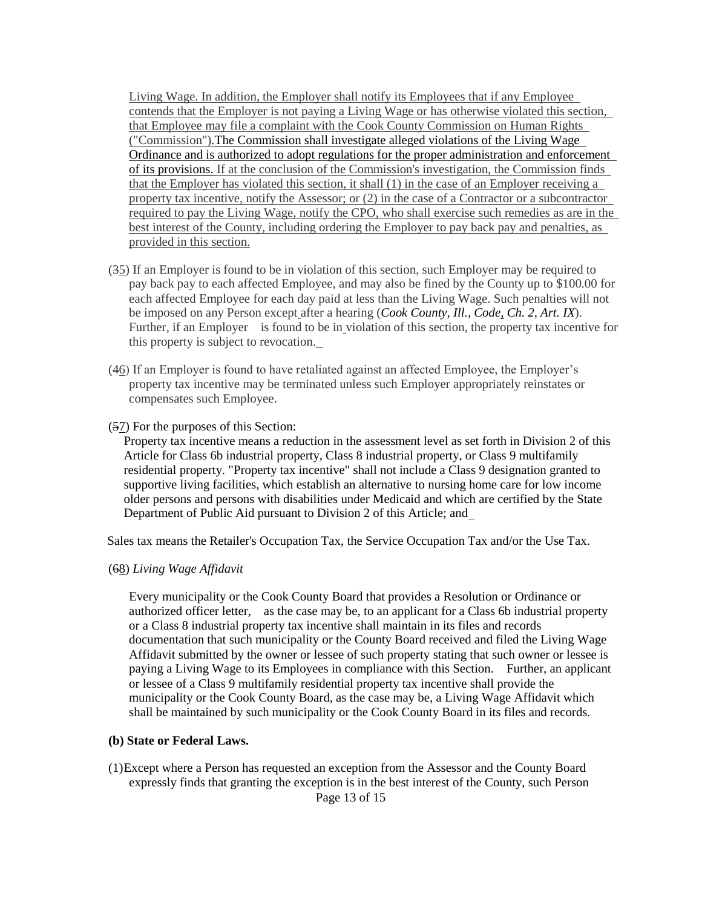Living Wage. In addition, the Employer shall notify its Employees that if any Employee contends that the Employer is not paying a Living Wage or has otherwise violated this section, that Employee may file a complaint with the Cook County Commission on Human Rights ("Commission").The Commission shall investigate alleged violations of the Living Wage Ordinance and is authorized to adopt regulations for the proper administration and enforcement of its provisions. If at the conclusion of the Commission's investigation, the Commission finds that the Employer has violated this section, it shall (1) in the case of an Employer receiving a property tax incentive, notify the Assessor; or (2) in the case of a Contractor or a subcontractor required to pay the Living Wage, notify the CPO, who shall exercise such remedies as are in the best interest of the County, including ordering the Employer to pay back pay and penalties, as provided in this section.

- (35) If an Employer is found to be in violation of this section, such Employer may be required to pay back pay to each affected Employee, and may also be fined by the County up to \$100.00 for each affected Employee for each day paid at less than the Living Wage. Such penalties will not be imposed on any Person except after a hearing (*Cook County, Ill., Code, Ch. 2, Art. IX*). Further, if an Employer is found to be in violation of this section, the property tax incentive for this property is subject to revocation.
- (46) If an Employer is found to have retaliated against an affected Employee, the Employer's property tax incentive may be terminated unless such Employer appropriately reinstates or compensates such Employee.
- (57) For the purposes of this Section:

Property tax incentive means a reduction in the assessment level as set forth in Division 2 of this Article for Class 6b industrial property, Class 8 industrial property, or Class 9 multifamily residential property. "Property tax incentive" shall not include a Class 9 designation granted to supportive living facilities, which establish an alternative to nursing home care for low income older persons and persons with disabilities under Medicaid and which are certified by the State Department of Public Aid pursuant to Division 2 of this Article; and

Sales tax means the Retailer's Occupation Tax, the Service Occupation Tax and/or the Use Tax.

(68) *Living Wage Affidavit*

Every municipality or the Cook County Board that provides a Resolution or Ordinance or authorized officer letter, as the case may be, to an applicant for a Class 6b industrial property or a Class 8 industrial property tax incentive shall maintain in its files and records documentation that such municipality or the County Board received and filed the Living Wage Affidavit submitted by the owner or lessee of such property stating that such owner or lessee is paying a Living Wage to its Employees in compliance with this Section. Further, an applicant or lessee of a Class 9 multifamily residential property tax incentive shall provide the municipality or the Cook County Board, as the case may be, a Living Wage Affidavit which shall be maintained by such municipality or the Cook County Board in its files and records.

#### **(b) State or Federal Laws.**

Page 13 of 15 (1)Except where a Person has requested an exception from the Assessor and the County Board expressly finds that granting the exception is in the best interest of the County, such Person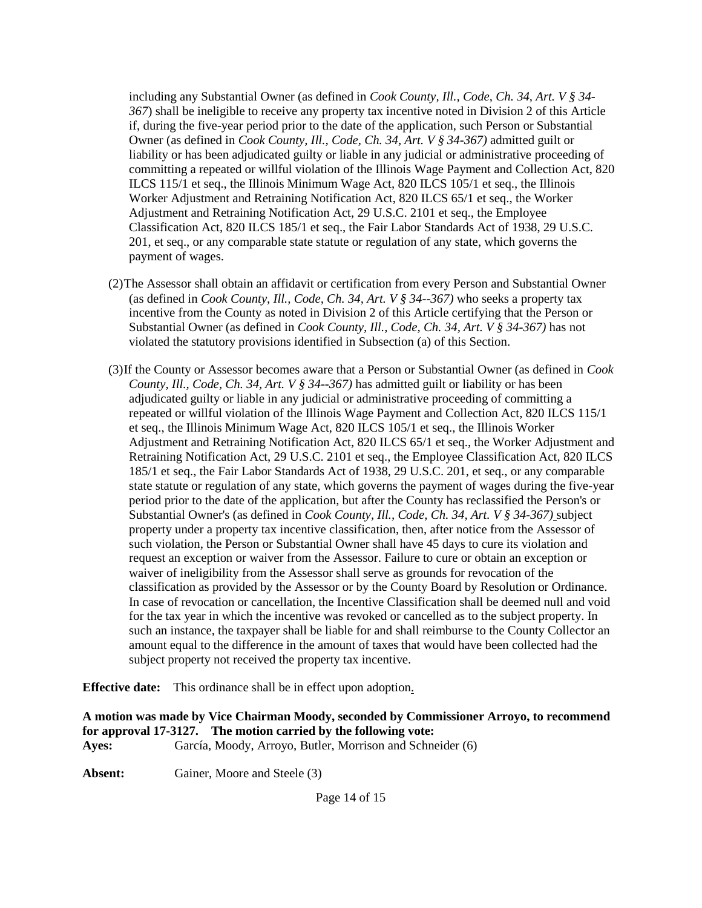including any Substantial Owner (as defined in *Cook County, Ill., Code, Ch. 34, Art. V § 34- 367*) shall be ineligible to receive any property tax incentive noted in Division 2 of this Article if, during the five-year period prior to the date of the application, such Person or Substantial Owner (as defined in *Cook County, Ill., Code, Ch. 34, Art. V § 34-367)* admitted guilt or liability or has been adjudicated guilty or liable in any judicial or administrative proceeding of committing a repeated or willful violation of the Illinois Wage Payment and Collection Act, 820 ILCS 115/1 et seq., the Illinois Minimum Wage Act, 820 ILCS 105/1 et seq., the Illinois Worker Adjustment and Retraining Notification Act, 820 ILCS 65/1 et seq., the Worker Adjustment and Retraining Notification Act, 29 U.S.C. 2101 et seq., the Employee Classification Act, 820 ILCS 185/1 et seq., the Fair Labor Standards Act of 1938, 29 U.S.C. 201, et seq., or any comparable state statute or regulation of any state, which governs the payment of wages.

- (2)The Assessor shall obtain an affidavit or certification from every Person and Substantial Owner (as defined in *Cook County, Ill., Code, Ch. 34, Art. V § 34--367)* who seeks a property tax incentive from the County as noted in Division 2 of this Article certifying that the Person or Substantial Owner (as defined in *Cook County, Ill., Code, Ch. 34, Art. V § 34-367)* has not violated the statutory provisions identified in Subsection (a) of this Section.
- (3)If the County or Assessor becomes aware that a Person or Substantial Owner (as defined in *Cook County, Ill., Code, Ch. 34, Art. V § 34--367)* has admitted guilt or liability or has been adjudicated guilty or liable in any judicial or administrative proceeding of committing a repeated or willful violation of the Illinois Wage Payment and Collection Act, 820 ILCS 115/1 et seq., the Illinois Minimum Wage Act, 820 ILCS 105/1 et seq., the Illinois Worker Adjustment and Retraining Notification Act, 820 ILCS 65/1 et seq., the Worker Adjustment and Retraining Notification Act, 29 U.S.C. 2101 et seq., the Employee Classification Act, 820 ILCS 185/1 et seq., the Fair Labor Standards Act of 1938, 29 U.S.C. 201, et seq., or any comparable state statute or regulation of any state, which governs the payment of wages during the five-year period prior to the date of the application, but after the County has reclassified the Person's or Substantial Owner's (as defined in *Cook County, Ill., Code, Ch. 34, Art. V § 34-367)* subject property under a property tax incentive classification, then, after notice from the Assessor of such violation, the Person or Substantial Owner shall have 45 days to cure its violation and request an exception or waiver from the Assessor. Failure to cure or obtain an exception or waiver of ineligibility from the Assessor shall serve as grounds for revocation of the classification as provided by the Assessor or by the County Board by Resolution or Ordinance. In case of revocation or cancellation, the Incentive Classification shall be deemed null and void for the tax year in which the incentive was revoked or cancelled as to the subject property. In such an instance, the taxpayer shall be liable for and shall reimburse to the County Collector an amount equal to the difference in the amount of taxes that would have been collected had the subject property not received the property tax incentive.

**Effective date:** This ordinance shall be in effect upon adoption.

**A motion was made by Vice Chairman Moody, seconded by Commissioner Arroyo, to recommend for approval 17-3127. The motion carried by the following vote: Ayes:** García, Moody, Arroyo, Butler, Morrison and Schneider (6)

**Absent:** Gainer, Moore and Steele (3)

Page 14 of 15